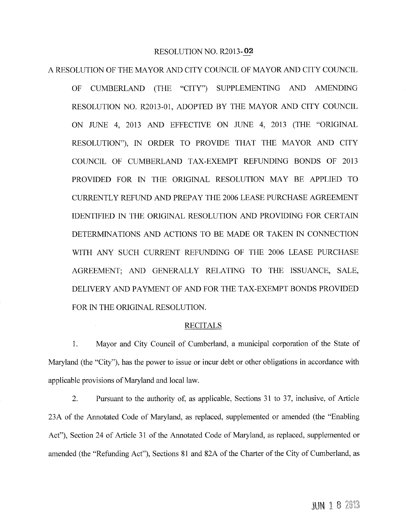## RESOLUTION NO. R2013-02

## A RESOLUTION OF THE MAYOR AND CITY COUNCIL OF MAYOR AND CITY COUNCIL

CUMBERLAND (THE "CITY") SUPPLEMENTING AND AMENDING  $OF$ RESOLUTION NO. R2013-01, ADOPTED BY THE MAYOR AND CITY COUNCIL ON JUNE 4, 2013 AND EFFECTIVE ON JUNE 4, 2013 (THE "ORIGINAL RESOLUTION"). IN ORDER TO PROVIDE THAT THE MAYOR AND CITY COUNCIL OF CUMBERLAND TAX-EXEMPT REFUNDING BONDS OF 2013 PROVIDED FOR IN THE ORIGINAL RESOLUTION MAY BE APPLIED TO CURRENTLY REFUND AND PREPAY THE 2006 LEASE PURCHASE AGREEMENT IDENTIFIED IN THE ORIGINAL RESOLUTION AND PROVIDING FOR CERTAIN DETERMINATIONS AND ACTIONS TO BE MADE OR TAKEN IN CONNECTION WITH ANY SUCH CURRENT REFUNDING OF THE 2006 LEASE PURCHASE AGREEMENT; AND GENERALLY RELATING TO THE ISSUANCE, SALE, DELIVERY AND PAYMENT OF AND FOR THE TAX-EXEMPT BONDS PROVIDED FOR IN THE ORIGINAL RESOLUTION.

## **RECITALS**

1. Mayor and City Council of Cumberland, a municipal corporation of the State of Maryland (the "City"), has the power to issue or incur debt or other obligations in accordance with applicable provisions of Maryland and local law.

 $\overline{2}$ . Pursuant to the authority of, as applicable, Sections 31 to 37, inclusive, of Article 23A of the Annotated Code of Maryland, as replaced, supplemented or amended (the "Enabling Act"), Section 24 of Article 31 of the Annotated Code of Maryland, as replaced, supplemented or amended (the "Refunding Act"), Sections 81 and 82A of the Charter of the City of Cumberland, as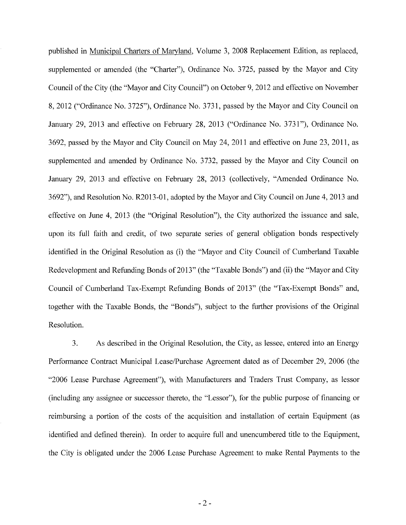published in Municipal Charters of Maryland, Volume 3, 2008 Replacement Edition, as replaced, supplemented or amended (the "Charter"), Ordinance No. 3725, passed by the Mayor and City Council of the City (the "Mayor and City Council") on October 9, 2012 and effective on November 8, 2012 ("Ordinance No. 3725"), Ordinance No. 3731, passed by the Mayor and City Council on January 29, 2013 and effective on February 28, 2013 ("Ordinance No. 3731"), Ordinance No. 3692, passed by the Mayor and City Council on May 24, 2011 and effective on June 23, 2011, as supplemented and amended by Ordinance No. 3732, passed by the Mayor and City Council on January 29, 2013 and effective on February 28, 2013 (collectively, "Amended Ordinance No. 3692"), and Resolution No. R2013-01, adopted by the Mayor and City Council on June 4, 2013 and effective on June 4, 2013 (the "Original Resolution"), the City authorized the issuance and sale, upon its full faith and credit, of two separate series of general obligation bonds respectively identified in the Original Resolution as (i) the "Mayor and City Council of Cumberland Taxable Redevelopment and Refunding Bonds of 2013" (the "Taxable Bonds") and (ii) the "Mayor and City Council of Cumberland Tax-Exempt Refunding Bonds of 2013" (the "Tax-Exempt Bonds" and, together with the Taxable Bonds, the "Bonds"), subject to the further provisions of the Original Resolution.

 $\overline{3}$ . As described in the Original Resolution, the City, as lessee, entered into an Energy Performance Contract Municipal Lease/Purchase Agreement dated as of December 29, 2006 (the "2006 Lease Purchase Agreement"), with Manufacturers and Traders Trust Company, as lessor (including any assignee or successor thereto, the "Lessor"), for the public purpose of financing or reimbursing a portion of the costs of the acquisition and installation of certain Equipment (as identified and defined therein). In order to acquire full and unencumbered title to the Equipment, the City is obligated under the 2006 Lease Purchase Agreement to make Rental Payments to the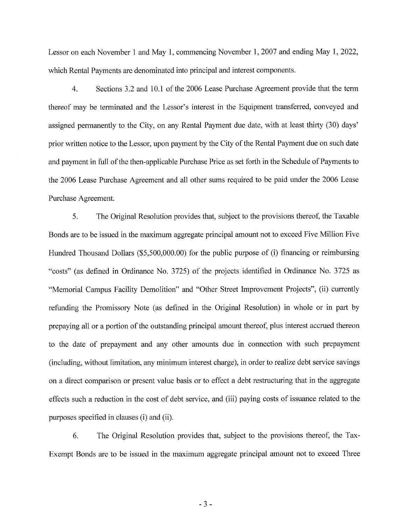Lessor on each November 1 and May 1, commencing November 1, 2007 and ending May 1, 2022, which Rental Payments are denominated into principal and interest components.

Sections 3.2 and 10.1 of the 2006 Lease Purchase Agreement provide that the term  $\overline{4}$ . thereof may be terminated and the Lessor's interest in the Equipment transferred, conveyed and assigned permanently to the City, on any Rental Payment due date, with at least thirty (30) days' prior written notice to the Lessor, upon payment by the City of the Rental Payment due on such date and payment in full of the then-applicable Purchase Price as set forth in the Schedule of Payments to the 2006 Lease Purchase Agreement and all other sums required to be paid under the 2006 Lease Purchase Agreement.

5. The Original Resolution provides that, subject to the provisions thereof, the Taxable Bonds are to be issued in the maximum aggregate principal amount not to exceed Five Million Five Hundred Thousand Dollars (\$5,500,000.00) for the public purpose of (i) financing or reimbursing "costs" (as defined in Ordinance No. 3725) of the projects identified in Ordinance No. 3725 as "Memorial Campus Facility Demolition" and "Other Street Improvement Projects", (ii) currently refunding the Promissory Note (as defined in the Original Resolution) in whole or in part by prepaying all or a portion of the outstanding principal amount thereof, plus interest accrued thereon to the date of prepayment and any other amounts due in connection with such prepayment (including, without limitation, any minimum interest charge), in order to realize debt service savings on a direct comparison or present value basis or to effect a debt restructuring that in the aggregate effects such a reduction in the cost of debt service, and (iii) paying costs of issuance related to the purposes specified in clauses (i) and (ii).

6. The Original Resolution provides that, subject to the provisions thereof, the Tax-Exempt Bonds are to be issued in the maximum aggregate principal amount not to exceed Three

 $-3-$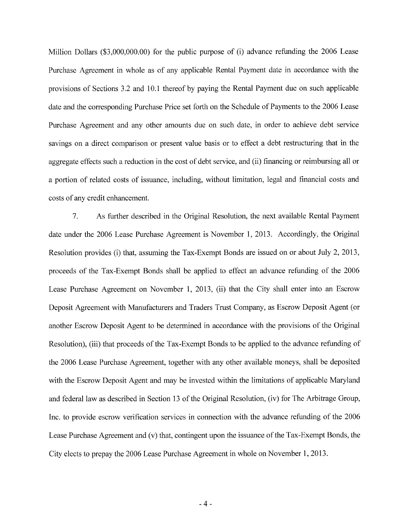Million Dollars (\$3,000,000.00) for the public purpose of (i) advance refunding the 2006 Lease Purchase Agreement in whole as of any applicable Rental Payment date in accordance with the provisions of Sections 3.2 and 10.1 thereof by paying the Rental Payment due on such applicable date and the corresponding Purchase Price set forth on the Schedule of Payments to the 2006 Lease Purchase Agreement and any other amounts due on such date, in order to achieve debt service savings on a direct comparison or present value basis or to effect a debt restructuring that in the aggregate effects such a reduction in the cost of debt service, and (ii) financing or reimbursing all or a portion of related costs of issuance, including, without limitation, legal and financial costs and costs of any credit enhancement.

 $7.$ As further described in the Original Resolution, the next available Rental Payment date under the 2006 Lease Purchase Agreement is November 1, 2013. Accordingly, the Original Resolution provides (i) that, assuming the Tax-Exempt Bonds are issued on or about July 2, 2013, proceeds of the Tax-Exempt Bonds shall be applied to effect an advance refunding of the 2006 Lease Purchase Agreement on November 1, 2013, (ii) that the City shall enter into an Escrow Deposit Agreement with Manufacturers and Traders Trust Company, as Escrow Deposit Agent (or another Escrow Deposit Agent to be determined in accordance with the provisions of the Original Resolution), (iii) that proceeds of the Tax-Exempt Bonds to be applied to the advance refunding of the 2006 Lease Purchase Agreement, together with any other available moneys, shall be deposited with the Escrow Deposit Agent and may be invested within the limitations of applicable Maryland and federal law as described in Section 13 of the Original Resolution, (iv) for The Arbitrage Group, Inc. to provide escrow verification services in connection with the advance refunding of the 2006 Lease Purchase Agreement and (v) that, contingent upon the issuance of the Tax-Exempt Bonds, the City elects to prepay the 2006 Lease Purchase Agreement in whole on November 1, 2013.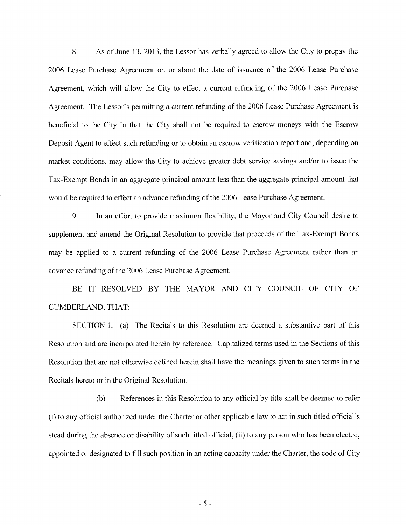8. As of June 13, 2013, the Lessor has verbally agreed to allow the City to prepay the 2006 Lease Purchase Agreement on or about the date of issuance of the 2006 Lease Purchase Agreement, which will allow the City to effect a current refunding of the 2006 Lease Purchase Agreement. The Lessor's permitting a current refunding of the 2006 Lease Purchase Agreement is beneficial to the City in that the City shall not be required to escrow moneys with the Escrow Deposit Agent to effect such refunding or to obtain an escrow verification report and, depending on market conditions, may allow the City to achieve greater debt service savings and/or to issue the Tax-Exempt Bonds in an aggregate principal amount less than the aggregate principal amount that would be required to effect an advance refunding of the 2006 Lease Purchase Agreement.

9. In an effort to provide maximum flexibility, the Mayor and City Council desire to supplement and amend the Original Resolution to provide that proceeds of the Tax-Exempt Bonds may be applied to a current refunding of the 2006 Lease Purchase Agreement rather than an advance refunding of the 2006 Lease Purchase Agreement.

BE IT RESOLVED BY THE MAYOR AND CITY COUNCIL OF CITY OF **CUMBERLAND, THAT:** 

SECTION 1. (a) The Recitals to this Resolution are deemed a substantive part of this Resolution and are incorporated herein by reference. Capitalized terms used in the Sections of this Resolution that are not otherwise defined herein shall have the meanings given to such terms in the Recitals hereto or in the Original Resolution.

 $(b)$ References in this Resolution to any official by title shall be deemed to refer (i) to any official authorized under the Charter or other applicable law to act in such titled official's stead during the absence or disability of such titled official, (ii) to any person who has been elected, appointed or designated to fill such position in an acting capacity under the Charter, the code of City

 $-5-$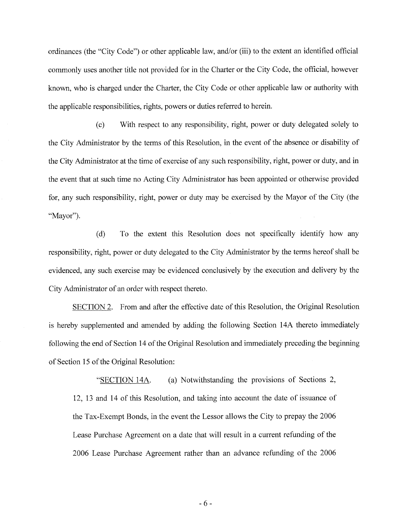ordinances (the "City Code") or other applicable law, and/or (iii) to the extent an identified official commonly uses another title not provided for in the Charter or the City Code, the official, however known, who is charged under the Charter, the City Code or other applicable law or authority with the applicable responsibilities, rights, powers or duties referred to herein.

 $(c)$ With respect to any responsibility, right, power or duty delegated solely to the City Administrator by the terms of this Resolution, in the event of the absence or disability of the City Administrator at the time of exercise of any such responsibility, right, power or duty, and in the event that at such time no Acting City Administrator has been appointed or otherwise provided for, any such responsibility, right, power or duty may be exercised by the Mayor of the City (the "Mayor").

To the extent this Resolution does not specifically identify how any  $(d)$ responsibility, right, power or duty delegated to the City Administrator by the terms hereof shall be evidenced, any such exercise may be evidenced conclusively by the execution and delivery by the City Administrator of an order with respect thereto.

SECTION 2. From and after the effective date of this Resolution, the Original Resolution is hereby supplemented and amended by adding the following Section 14A thereto immediately following the end of Section 14 of the Original Resolution and immediately preceding the beginning of Section 15 of the Original Resolution:

(a) Notwithstanding the provisions of Sections 2, "SECTION 14A. 12, 13 and 14 of this Resolution, and taking into account the date of issuance of the Tax-Exempt Bonds, in the event the Lessor allows the City to prepay the 2006 Lease Purchase Agreement on a date that will result in a current refunding of the 2006 Lease Purchase Agreement rather than an advance refunding of the 2006

 $-6-$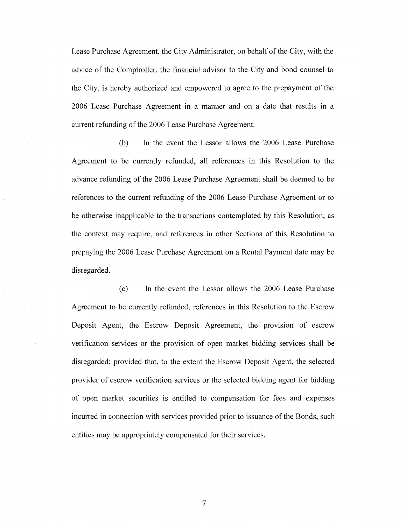Lease Purchase Agreement, the City Administrator, on behalf of the City, with the advice of the Comptroller, the financial advisor to the City and bond counsel to the City, is hereby authorized and empowered to agree to the prepayment of the 2006 Lease Purchase Agreement in a manner and on a date that results in a current refunding of the 2006 Lease Purchase Agreement.

In the event the Lessor allows the 2006 Lease Purchase  $(b)$ Agreement to be currently refunded, all references in this Resolution to the advance refunding of the 2006 Lease Purchase Agreement shall be deemed to be references to the current refunding of the 2006 Lease Purchase Agreement or to be otherwise inapplicable to the transactions contemplated by this Resolution, as the context may require, and references in other Sections of this Resolution to prepaying the 2006 Lease Purchase Agreement on a Rental Payment date may be disregarded.

 $(c)$ In the event the Lessor allows the 2006 Lease Purchase Agreement to be currently refunded, references in this Resolution to the Escrow Deposit Agent, the Escrow Deposit Agreement, the provision of escrow verification services or the provision of open market bidding services shall be disregarded; provided that, to the extent the Escrow Deposit Agent, the selected provider of escrow verification services or the selected bidding agent for bidding of open market securities is entitled to compensation for fees and expenses incurred in connection with services provided prior to issuance of the Bonds, such entities may be appropriately compensated for their services.

 $-7-$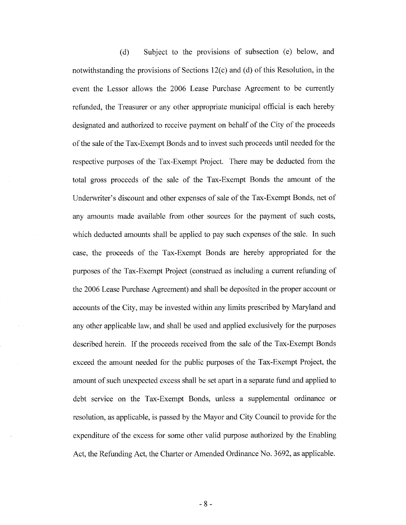Subject to the provisions of subsection (e) below, and  $(d)$ notwithstanding the provisions of Sections  $12(c)$  and (d) of this Resolution, in the event the Lessor allows the 2006 Lease Purchase Agreement to be currently refunded, the Treasurer or any other appropriate municipal official is each hereby designated and authorized to receive payment on behalf of the City of the proceeds of the sale of the Tax-Exempt Bonds and to invest such proceeds until needed for the respective purposes of the Tax-Exempt Project. There may be deducted from the total gross proceeds of the sale of the Tax-Exempt Bonds the amount of the Underwriter's discount and other expenses of sale of the Tax-Exempt Bonds, net of any amounts made available from other sources for the payment of such costs, which deducted amounts shall be applied to pay such expenses of the sale. In such case, the proceeds of the Tax-Exempt Bonds are hereby appropriated for the purposes of the Tax-Exempt Project (construed as including a current refunding of the 2006 Lease Purchase Agreement) and shall be deposited in the proper account or accounts of the City, may be invested within any limits prescribed by Maryland and any other applicable law, and shall be used and applied exclusively for the purposes described herein. If the proceeds received from the sale of the Tax-Exempt Bonds exceed the amount needed for the public purposes of the Tax-Exempt Project, the amount of such unexpected excess shall be set apart in a separate fund and applied to debt service on the Tax-Exempt Bonds, unless a supplemental ordinance or resolution, as applicable, is passed by the Mayor and City Council to provide for the expenditure of the excess for some other valid purpose authorized by the Enabling Act, the Refunding Act, the Charter or Amended Ordinance No. 3692, as applicable.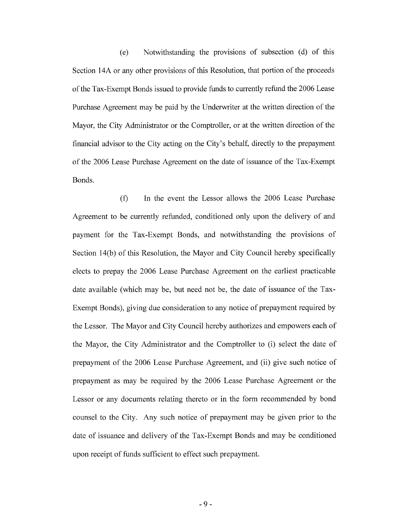Notwithstanding the provisions of subsection (d) of this  $(e)$ Section 14A or any other provisions of this Resolution, that portion of the proceeds of the Tax-Exempt Bonds issued to provide funds to currently refund the 2006 Lease Purchase Agreement may be paid by the Underwriter at the written direction of the Mayor, the City Administrator or the Comptroller, or at the written direction of the financial advisor to the City acting on the City's behalf, directly to the prepayment of the 2006 Lease Purchase Agreement on the date of issuance of the Tax-Exempt Bonds.

In the event the Lessor allows the 2006 Lease Purchase  $(f)$ Agreement to be currently refunded, conditioned only upon the delivery of and payment for the Tax-Exempt Bonds, and notwithstanding the provisions of Section 14(b) of this Resolution, the Mayor and City Council hereby specifically elects to prepay the 2006 Lease Purchase Agreement on the earliest practicable date available (which may be, but need not be, the date of issuance of the Tax-Exempt Bonds), giving due consideration to any notice of prepayment required by the Lessor. The Mayor and City Council hereby authorizes and empowers each of the Mayor, the City Administrator and the Comptroller to (i) select the date of prepayment of the 2006 Lease Purchase Agreement, and (ii) give such notice of prepayment as may be required by the 2006 Lease Purchase Agreement or the Lessor or any documents relating thereto or in the form recommended by bond counsel to the City. Any such notice of prepayment may be given prior to the date of issuance and delivery of the Tax-Exempt Bonds and may be conditioned upon receipt of funds sufficient to effect such prepayment.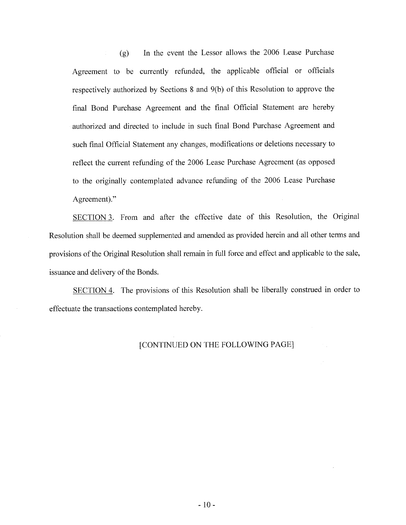In the event the Lessor allows the 2006 Lease Purchase  $(g)$ Agreement to be currently refunded, the applicable official or officials respectively authorized by Sections 8 and 9(b) of this Resolution to approve the final Bond Purchase Agreement and the final Official Statement are hereby authorized and directed to include in such final Bond Purchase Agreement and such final Official Statement any changes, modifications or deletions necessary to reflect the current refunding of the 2006 Lease Purchase Agreement (as opposed to the originally contemplated advance refunding of the 2006 Lease Purchase Agreement)."

SECTION 3. From and after the effective date of this Resolution, the Original Resolution shall be deemed supplemented and amended as provided herein and all other terms and provisions of the Original Resolution shall remain in full force and effect and applicable to the sale, issuance and delivery of the Bonds.

SECTION 4. The provisions of this Resolution shall be liberally construed in order to effectuate the transactions contemplated hereby.

## [CONTINUED ON THE FOLLOWING PAGE]